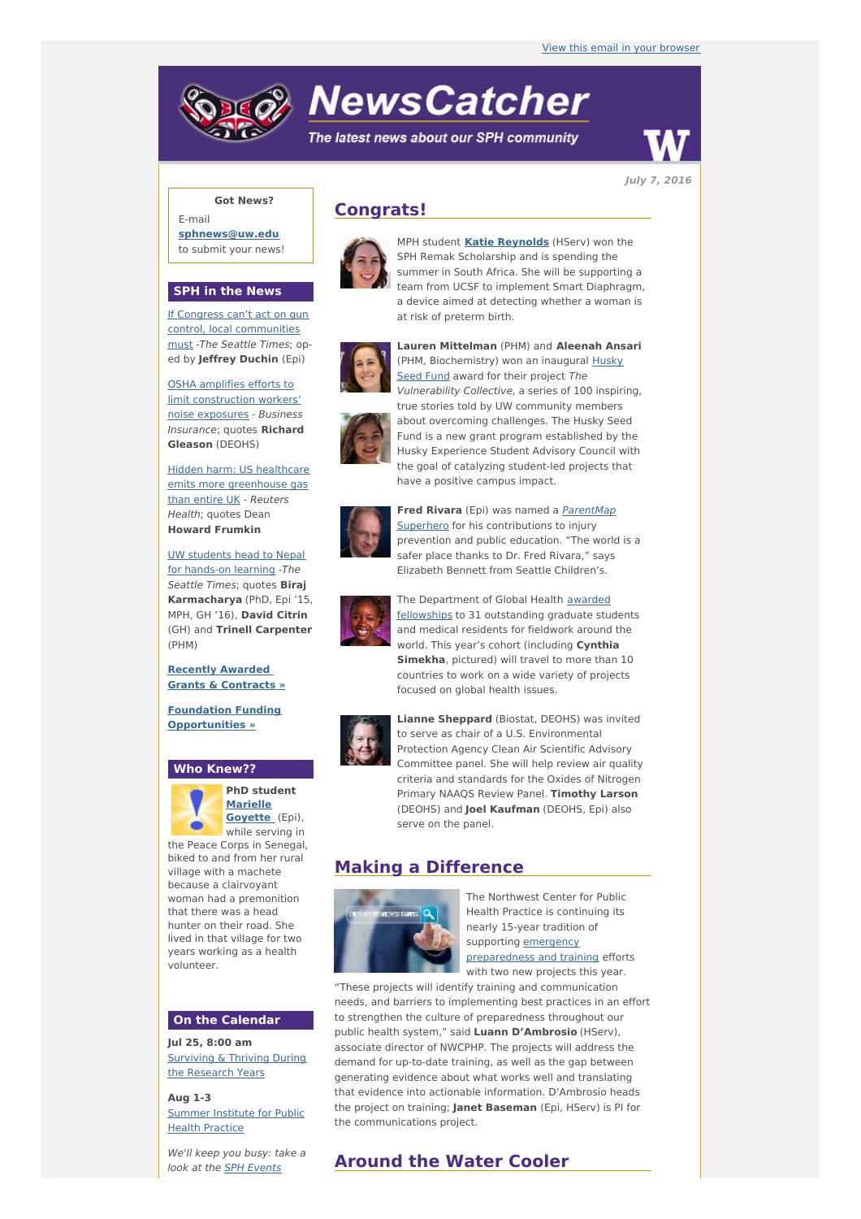# **NewsCatcher**

The latest news about our SPH community



**July 7, 2016**

## **Got News?**

E-mail **[sphnews@uw.edu](mailto:sphnews@uw.edu)** to submit your news!

## **SPH in the News**

If Congress can't act on gun control, local [communities](http://engage.washington.edu/site/R?i=-y6_1tCvuyVunrr3a1yXIQ) must -The Seattle Times; oped by **Jeffrey Duchin** (Epi)

OSHA amplifies efforts to limit [construction](http://engage.washington.edu/site/R?i=YzHOHKbTDygXUL5_5FMTzg) workers' noise exposures - Business Insurance; quotes **Richard Gleason** (DEOHS)

Hidden harm: US healthcare emits more [greenhouse](http://engage.washington.edu/site/R?i=uTBr4wS-wbhBXMogkfQ4IA) gas than entire UK - Reuters Health; quotes Dean **Howard Frumkin**

UW [students](http://engage.washington.edu/site/R?i=wqHq6vUZ6VNqm1JHKMx5Ww) head to Nepal for hands-on learning -The Seattle Times; quotes **Biraj Karmacharya** (PhD, Epi '15, MPH, GH '16), **David Citrin** (GH) and **Trinell Carpenter** (PHM)

## **Recently Awarded Grants & [Contracts](http://engage.washington.edu/site/R?i=BRU7X-HYUoR9aIUW2mzJBA) »**

**Foundation Funding [Opportunities](http://engage.washington.edu/site/R?i=OF1HOXSa09aKRIeYkK1lkw) »**

#### **Who Knew??**



**PhD student [Marielle](http://engage.washington.edu/site/R?i=35ctyhNCIMir-iT3tTHFsw) Goyett[e](http://engage.washington.edu/site/R?i=dhwLVths-DMgwWsf9YrhdQ)** (Epi), while serving in

the Peace Corps in Senegal, biked to and from her rural village with a machete because a clairvoyant woman had a premonition that there was a head hunter on their road. She lived in that village for two years working as a health volunteer.

## **On the Calendar**

**Jul 25, 8:00 am** [Surviving](http://engage.washington.edu/site/R?i=rJvzHIhyvFJPhXlGuZViww) & Thriving During the Research Years

**Aug 1-3** [Summer](http://engage.washington.edu/site/R?i=ttMZnWND63qxSIPHtqPxew) Institute for Public **Health Practice** 

We'll keep you busy: take a look at the SPH [Events](http://engage.washington.edu/site/R?i=IiQJGixRzaX6uzFD33XFFQ)

# **Congrats!**



MPH student **Katie [Reynolds](http://engage.washington.edu/site/R?i=v9z-WDWvBZZX0jRDX9CJ5w)** (HServ) won the SPH Remak Scholarship and is spending the summer in South Africa. She will be supporting a team from UCSF to implement Smart Diaphragm, a device aimed at detecting whether a woman is at risk of preterm birth.



**Lauren Mittelman** (PHM) and **Aleenah Ansari** (PHM, [Biochemistry\)](http://engage.washington.edu/site/R?i=P8Vgxx1OjjU4ABnNiNb2ng) won an inaugural Husky Seed Fund award for their project The Vulnerability Collective, a series of 100 inspiring, true stories told by UW community members about overcoming challenges. The Husky Seed Fund is a new grant program established by the Husky Experience Student Advisory Council with the goal of catalyzing student-led projects that have a positive campus impact.



**Fred Rivara** (Epi) was named a **ParentMap** Superhero for his [contributions](http://engage.washington.edu/site/R?i=Dj5lJopbmCqSpjBr70nbTg) to injury prevention and public education. "The world is a safer place thanks to Dr. Fred Rivara," says Elizabeth Bennett from Seattle Children's.



The [Department](http://engage.washington.edu/site/R?i=1rkQW-cv7DFR_ikZmV76_g) of Global Health awarded fellowships to 31 outstanding graduate students and medical residents for fieldwork around the world. This year's cohort (including **Cynthia Simekha**, pictured) will travel to more than 10 countries to work on a wide variety of projects focused on global health issues.



**Lianne Sheppard** (Biostat, DEOHS) was invited to serve as chair of a U.S. Environmental Protection Agency Clean Air Scientific Advisory Committee panel. She will help review air quality criteria and standards for the Oxides of Nitrogen Primary NAAQS Review Panel. **Timothy Larson** (DEOHS) and **Joel Kaufman** (DEOHS, Epi) also serve on the panel.

# **Making a Difference**



The Northwest Center for Public Health Practice is continuing its nearly 15-year tradition of supporting emergency [preparedness](http://engage.washington.edu/site/R?i=7vTX_Qe7e-iAi56hjNpAeA) and training efforts with two new projects this year.

"These projects will identify training and communication needs, and barriers to implementing best practices in an effort to strengthen the culture of preparedness throughout our public health system," said **Luann D'Ambrosio** (HServ), associate director of NWCPHP. The projects will address the demand for up-to-date training, as well as the gap between generating evidence about what works well and translating that evidence into actionable information. D'Ambrosio heads the project on training; **Janet Baseman** (Epi, HServ) is PI for the communications project.

# **Around the Water Cooler**